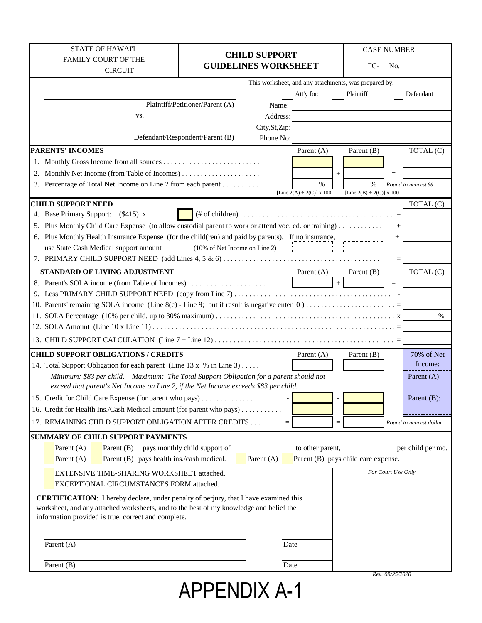| <b>STATE OF HAWAIT</b>                                                                                |                                          | <b>CHILD SUPPORT</b>                                                                                                       |                                                           | <b>CASE NUMBER:</b>     |  |
|-------------------------------------------------------------------------------------------------------|------------------------------------------|----------------------------------------------------------------------------------------------------------------------------|-----------------------------------------------------------|-------------------------|--|
| <b>FAMILY COURT OF THE</b>                                                                            | <b>GUIDELINES WORKSHEET</b>              |                                                                                                                            | $FC-$ No.                                                 |                         |  |
| <b>CIRCUIT</b>                                                                                        |                                          |                                                                                                                            |                                                           |                         |  |
|                                                                                                       |                                          | This worksheet, and any attachments, was prepared by:                                                                      |                                                           |                         |  |
|                                                                                                       |                                          | Att'y for:                                                                                                                 | Plaintiff                                                 | Defendant               |  |
|                                                                                                       | Plaintiff/Petitioner/Parent (A)          | Name:                                                                                                                      | <u> 1989 - Andrea Station Books, amerikansk politik (</u> |                         |  |
| VS.                                                                                                   |                                          | Address:                                                                                                                   |                                                           |                         |  |
|                                                                                                       |                                          | City, St, Zip:                                                                                                             |                                                           |                         |  |
|                                                                                                       | Defendant/Respondent/Parent (B)          | Phone No:                                                                                                                  |                                                           |                         |  |
| <b>PARENTS' INCOMES</b>                                                                               |                                          | Parent (A)                                                                                                                 | Parent (B)                                                | TOTAL (C)               |  |
|                                                                                                       |                                          |                                                                                                                            |                                                           |                         |  |
| 2.                                                                                                    |                                          |                                                                                                                            | $+$                                                       | $=$                     |  |
| 3. Percentage of Total Net Income on Line 2 from each parent                                          |                                          | $\%$<br>[Line $2(A) \div 2(C)$ ] x 100                                                                                     | $\frac{0}{0}$<br>[Line $2(B) \div 2(C)$ ] x 100           | Round to nearest %      |  |
| <b>CHILD SUPPORT NEED</b>                                                                             |                                          |                                                                                                                            |                                                           | TOTAL(C)                |  |
| Base Primary Support: (\$415) x<br>4.                                                                 |                                          | $(\# \text{ of children}) \dots \dots \dots \dots \dots \dots \dots \dots \dots \dots \dots \dots \dots \dots \dots \dots$ |                                                           |                         |  |
| 5. Plus Monthly Child Care Expense (to allow custodial parent to work or attend voc. ed. or training) |                                          |                                                                                                                            |                                                           | $+$                     |  |
| 6. Plus Monthly Health Insurance Expense (for the child(ren) and paid by parents). If no insurance,   |                                          |                                                                                                                            |                                                           |                         |  |
| use State Cash Medical support amount                                                                 | $(10\% \text{ of Net Income on Line 2})$ |                                                                                                                            |                                                           |                         |  |
|                                                                                                       |                                          |                                                                                                                            |                                                           |                         |  |
| STANDARD OF LIVING ADJUSTMENT                                                                         |                                          |                                                                                                                            |                                                           |                         |  |
|                                                                                                       |                                          | Parent $(A)$                                                                                                               | Parent (B)<br>$+$ $-$                                     | TOTAL (C)<br>$=$        |  |
|                                                                                                       |                                          |                                                                                                                            |                                                           |                         |  |
|                                                                                                       |                                          |                                                                                                                            |                                                           |                         |  |
|                                                                                                       |                                          |                                                                                                                            |                                                           | $\%$                    |  |
|                                                                                                       |                                          |                                                                                                                            |                                                           |                         |  |
|                                                                                                       |                                          |                                                                                                                            |                                                           |                         |  |
|                                                                                                       |                                          |                                                                                                                            |                                                           |                         |  |
| <b>CHILD SUPPORT OBLIGATIONS / CREDITS</b>                                                            |                                          | Parent $(A)$                                                                                                               | Parent (B)                                                | 70% of Net              |  |
| 14. Total Support Obligation for each parent (Line 13 x % in Line 3)                                  |                                          |                                                                                                                            |                                                           | Income:                 |  |
| Minimum: \$83 per child. Maximum: The Total Support Obligation for a parent should not                |                                          |                                                                                                                            |                                                           | Parent (A):             |  |
| exceed that parent's Net Income on Line 2, if the Net Income exceeds \$83 per child.                  |                                          |                                                                                                                            |                                                           |                         |  |
| 15. Credit for Child Care Expense (for parent who pays)                                               |                                          |                                                                                                                            |                                                           | Parent (B):             |  |
| 16. Credit for Health Ins./Cash Medical amount (for parent who pays)                                  |                                          |                                                                                                                            |                                                           |                         |  |
| 17. REMAINING CHILD SUPPORT OBLIGATION AFTER CREDITS                                                  |                                          | $=$                                                                                                                        | $=$                                                       | Round to nearest dollar |  |
| SUMMARY OF CHILD SUPPORT PAYMENTS                                                                     |                                          |                                                                                                                            |                                                           |                         |  |
| Parent (B) pays monthly child support of<br>Parent $(A)$                                              |                                          | to other parent,                                                                                                           |                                                           | per child per mo.       |  |
| Parent (A)<br>Parent (B) pays health ins./cash medical.                                               |                                          | Parent $(A)$                                                                                                               | Parent (B) pays child care expense.                       |                         |  |
| EXTENSIVE TIME-SHARING WORKSHEET attached.                                                            |                                          |                                                                                                                            |                                                           | For Court Use Only      |  |
| EXCEPTIONAL CIRCUMSTANCES FORM attached.                                                              |                                          |                                                                                                                            |                                                           |                         |  |
| <b>CERTIFICATION:</b> I hereby declare, under penalty of perjury, that I have examined this           |                                          |                                                                                                                            |                                                           |                         |  |
| worksheet, and any attached worksheets, and to the best of my knowledge and belief the                |                                          |                                                                                                                            |                                                           |                         |  |
| information provided is true, correct and complete.                                                   |                                          |                                                                                                                            |                                                           |                         |  |
|                                                                                                       |                                          |                                                                                                                            |                                                           |                         |  |
| Parent (A)                                                                                            |                                          | Date                                                                                                                       |                                                           |                         |  |
|                                                                                                       |                                          |                                                                                                                            |                                                           |                         |  |
| Parent (B)                                                                                            |                                          | Date                                                                                                                       |                                                           |                         |  |
|                                                                                                       |                                          |                                                                                                                            |                                                           | Rev. 09/25/2020         |  |

### APPENDIX A-1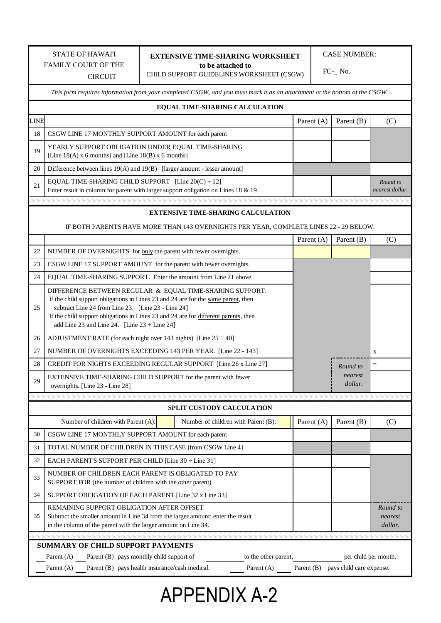### STATE OF HAWAI'I FAMILY COURT OF THE CIRCUIT

#### **EXTENSIVE TIME-SHARING WORKSHEET**

 **to be attached to**  CHILD SUPPORT GUIDELINES WORKSHEET (CSGW) CASE NUMBER:

FC-\_ No.

 *This form requires information from your completed CSGW, and you must mark it as an attachment at the bottom of the CSGW.*

| <b>EQUAL TIME-SHARING CALCULATION</b> |                                                                                                                                                                                                                                                                                                                                              |              |                                     |                             |  |  |  |
|---------------------------------------|----------------------------------------------------------------------------------------------------------------------------------------------------------------------------------------------------------------------------------------------------------------------------------------------------------------------------------------------|--------------|-------------------------------------|-----------------------------|--|--|--|
| <b>LINE</b>                           |                                                                                                                                                                                                                                                                                                                                              | Parent $(A)$ | Parent (B)                          | (C)                         |  |  |  |
| 18                                    | CSGW LINE 17 MONTHLY SUPPORT AMOUNT for each parent                                                                                                                                                                                                                                                                                          |              |                                     |                             |  |  |  |
| 19                                    | YEARLY SUPPORT OBLIGATION UNDER EQUAL TIME-SHARING<br>[Line $18(A)$ x 6 months] and [Line $18(B)$ x 6 months]                                                                                                                                                                                                                                |              |                                     |                             |  |  |  |
| 20                                    | Difference between lines 19(A) and 19(B) [larger amount - lesser amount]                                                                                                                                                                                                                                                                     |              |                                     |                             |  |  |  |
| 21                                    | EQUAL TIME-SHARING CHILD SUPPORT [Line $20(C) \div 12$ ]<br>Enter result in column for parent with larger support obligation on Lines 18 & 19.                                                                                                                                                                                               |              |                                     | Round to<br>nearest dollar. |  |  |  |
|                                       |                                                                                                                                                                                                                                                                                                                                              |              |                                     |                             |  |  |  |
|                                       | <b>EXTENSIVE TIME-SHARING CALCULATION</b>                                                                                                                                                                                                                                                                                                    |              |                                     |                             |  |  |  |
|                                       | IF BOTH PARENTS HAVE MORE THAN 143 OVERNIGHTS PER YEAR, COMPLETE LINES 22 - 29 BELOW.                                                                                                                                                                                                                                                        |              |                                     |                             |  |  |  |
|                                       |                                                                                                                                                                                                                                                                                                                                              | Parent $(A)$ | Parent (B)                          | (C)                         |  |  |  |
| 22                                    | NUMBER OF OVERNIGHTS for only the parent with fewer overnights.                                                                                                                                                                                                                                                                              |              |                                     |                             |  |  |  |
| 23                                    | CSGW LINE 17 SUPPORT AMOUNT for the parent with fewer overnights.                                                                                                                                                                                                                                                                            |              |                                     |                             |  |  |  |
| 24                                    | EQUAL TIME-SHARING SUPPORT. Enter the amount from Line 21 above.                                                                                                                                                                                                                                                                             |              |                                     |                             |  |  |  |
| 25                                    | DIFFERENCE BETWEEN REGULAR & EQUAL TIME-SHARING SUPPORT:<br>If the child support obligations in Lines 23 and 24 are for the same parent, then<br>subtract Line 24 from Line 23. [Line 23 - Line 24]<br>If the child support obligations in Lines 23 and 24 are for different parents, then<br>add Line 23 and Line 24. [Line $23 +$ Line 24] |              |                                     |                             |  |  |  |
| 26                                    | ADJUSTMENT RATE (for each night over 143 nights) [Line $25 \div 40$ ]                                                                                                                                                                                                                                                                        |              |                                     |                             |  |  |  |
| 27                                    | NUMBER OF OVERNIGHTS EXCEEDING 143 PER YEAR. [Line 22 - 143]                                                                                                                                                                                                                                                                                 |              |                                     | $\mathbf X$                 |  |  |  |
| 28                                    | CREDIT FOR NIGHTS EXCEEDING REGULAR SUPPORT [Line 26 x Line 27]                                                                                                                                                                                                                                                                              |              | Round to                            | $\qquad \qquad =$           |  |  |  |
| 29                                    | EXTENSIVE TIME-SHARING CHILD SUPPORT for the parent with fewer<br>overnights. [Line 23 - Line 28]                                                                                                                                                                                                                                            |              | nearest<br>dollar.                  |                             |  |  |  |
|                                       |                                                                                                                                                                                                                                                                                                                                              |              |                                     |                             |  |  |  |
|                                       | SPLIT CUSTODY CALCULATION                                                                                                                                                                                                                                                                                                                    |              |                                     |                             |  |  |  |
|                                       | Number of children with Parent (A):<br>Number of children with Parent (B):                                                                                                                                                                                                                                                                   | Parent $(A)$ | Parent (B)                          | (C)                         |  |  |  |
| 30                                    | CSGW LINE 17 MONTHLY SUPPORT AMOUNT for each parent                                                                                                                                                                                                                                                                                          |              |                                     |                             |  |  |  |
| 31                                    | TOTAL NUMBER OF CHILDREN IN THIS CASE [from CSGW Line 4]                                                                                                                                                                                                                                                                                     |              |                                     |                             |  |  |  |
| 32                                    | EACH PARENT'S SUPPORT PER CHILD [Line 30 ÷ Line 31]                                                                                                                                                                                                                                                                                          |              |                                     |                             |  |  |  |
| 33                                    | NUMBER OF CHILDREN EACH PARENT IS OBLIGATED TO PAY<br>SUPPORT FOR (the number of children with the other parent)                                                                                                                                                                                                                             |              |                                     |                             |  |  |  |
| 34                                    | SUPPORT OBLIGATION OF EACH PARENT [Line 32 x Line 33]                                                                                                                                                                                                                                                                                        |              |                                     |                             |  |  |  |
| 35                                    | REMAINING SUPPORT OBLIGATION AFTER OFFSET<br>Round to<br>Subtract the smaller amount in Line 34 from the larger amount; enter the result<br>nearest<br>in the column of the parent with the larger amount on Line 34.<br>dollar.                                                                                                             |              |                                     |                             |  |  |  |
|                                       |                                                                                                                                                                                                                                                                                                                                              |              |                                     |                             |  |  |  |
|                                       | <b>SUMMARY OF CHILD SUPPORT PAYMENTS</b><br>Parent (A) Parent (B) pays monthly child support of<br>to the other parent,<br>Parent (A) Parent (B) pays health insurance/cash medical.<br>Parent $(A)$                                                                                                                                         |              | Parent (B) pays child care expense. | per child per month.        |  |  |  |

# APPENDIX A-2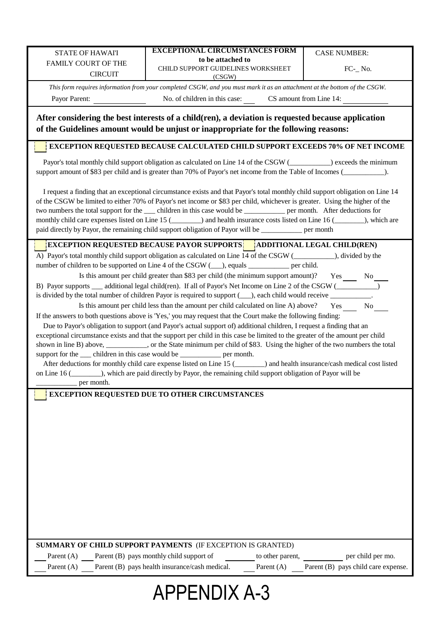| <b>STATE OF HAWAIT</b>                                                                                                                                                                                                                                                                                                                                                                                                                                                                                                                                                                                                     | <b>EXCEPTIONAL CIRCUMSTANCES FORM</b>                                                                                     |                  | <b>CASE NUMBER:</b>                                                                   |
|----------------------------------------------------------------------------------------------------------------------------------------------------------------------------------------------------------------------------------------------------------------------------------------------------------------------------------------------------------------------------------------------------------------------------------------------------------------------------------------------------------------------------------------------------------------------------------------------------------------------------|---------------------------------------------------------------------------------------------------------------------------|------------------|---------------------------------------------------------------------------------------|
| <b>FAMILY COURT OF THE</b>                                                                                                                                                                                                                                                                                                                                                                                                                                                                                                                                                                                                 | to be attached to<br>CHILD SUPPORT GUIDELINES WORKSHEET                                                                   |                  | $FC$ - $No.$                                                                          |
| <b>CIRCUIT</b>                                                                                                                                                                                                                                                                                                                                                                                                                                                                                                                                                                                                             | (CSGW)                                                                                                                    |                  |                                                                                       |
|                                                                                                                                                                                                                                                                                                                                                                                                                                                                                                                                                                                                                            | This form requires information from your completed CSGW, and you must mark it as an attachment at the bottom of the CSGW. |                  |                                                                                       |
| Payor Parent:                                                                                                                                                                                                                                                                                                                                                                                                                                                                                                                                                                                                              | No. of children in this case:                                                                                             |                  | CS amount from Line 14:                                                               |
| After considering the best interests of a child(ren), a deviation is requested because application<br>of the Guidelines amount would be unjust or inappropriate for the following reasons:                                                                                                                                                                                                                                                                                                                                                                                                                                 |                                                                                                                           |                  |                                                                                       |
|                                                                                                                                                                                                                                                                                                                                                                                                                                                                                                                                                                                                                            |                                                                                                                           |                  | <b>EXCEPTION REQUESTED BECAUSE CALCULATED CHILD SUPPORT EXCEEDS 70% OF NET INCOME</b> |
| Payor's total monthly child support obligation as calculated on Line 14 of the CSGW (___________) exceeds the minimum<br>support amount of \$83 per child and is greater than 70% of Payor's net income from the Table of Incomes (_________).                                                                                                                                                                                                                                                                                                                                                                             |                                                                                                                           |                  |                                                                                       |
| I request a finding that an exceptional circumstance exists and that Payor's total monthly child support obligation on Line 14<br>of the CSGW be limited to either 70% of Payor's net income or \$83 per child, whichever is greater. Using the higher of the<br>two numbers the total support for the ____ children in this case would be __________ per month. After deductions for<br>monthly child care expenses listed on Line 15 (_______) and health insurance costs listed on Line 16 (______), which are<br>paid directly by Payor, the remaining child support obligation of Payor will be ___________ per month |                                                                                                                           |                  |                                                                                       |
| <b>EXCEPTION REQUESTED BECAUSE PAYOR SUPPORTS</b> ADDITIONAL LEGAL CHILD(REN)                                                                                                                                                                                                                                                                                                                                                                                                                                                                                                                                              |                                                                                                                           |                  |                                                                                       |
|                                                                                                                                                                                                                                                                                                                                                                                                                                                                                                                                                                                                                            |                                                                                                                           |                  |                                                                                       |
| number of children to be supported on Line 4 of the CSGW (__), equals _________ per child.                                                                                                                                                                                                                                                                                                                                                                                                                                                                                                                                 |                                                                                                                           |                  |                                                                                       |
|                                                                                                                                                                                                                                                                                                                                                                                                                                                                                                                                                                                                                            | Is this amount per child greater than \$83 per child (the minimum support amount)?                                        |                  | Yes<br>No.                                                                            |
| B) Payor supports ____ additional legal child(ren). If all of Payor's Net Income on Line 2 of the CSGW (___________)                                                                                                                                                                                                                                                                                                                                                                                                                                                                                                       |                                                                                                                           |                  |                                                                                       |
| is divided by the total number of children Payor is required to support (), each child would receive ___________                                                                                                                                                                                                                                                                                                                                                                                                                                                                                                           |                                                                                                                           |                  |                                                                                       |
|                                                                                                                                                                                                                                                                                                                                                                                                                                                                                                                                                                                                                            | Is this amount per child less than the amount per child calculated on line A) above?                                      |                  | Yes<br>No                                                                             |
| If the answers to both questions above is 'Yes,' you may request that the Court make the following finding:                                                                                                                                                                                                                                                                                                                                                                                                                                                                                                                |                                                                                                                           |                  |                                                                                       |
| Due to Payor's obligation to support (and Payor's actual support of) additional children, I request a finding that an                                                                                                                                                                                                                                                                                                                                                                                                                                                                                                      |                                                                                                                           |                  |                                                                                       |
| exceptional circumstance exists and that the support per child in this case be limited to the greater of the amount per child                                                                                                                                                                                                                                                                                                                                                                                                                                                                                              |                                                                                                                           |                  |                                                                                       |
| shown in line B) above, __________, or the State minimum per child of \$83. Using the higher of the two numbers the total                                                                                                                                                                                                                                                                                                                                                                                                                                                                                                  |                                                                                                                           |                  |                                                                                       |
| support for the _____ children in this case would be ______________ per month.                                                                                                                                                                                                                                                                                                                                                                                                                                                                                                                                             |                                                                                                                           |                  |                                                                                       |
| After deductions for monthly child care expense listed on Line 15 (2000) and health insurance/cash medical cost listed                                                                                                                                                                                                                                                                                                                                                                                                                                                                                                     |                                                                                                                           |                  |                                                                                       |
| on Line 16 (_______), which are paid directly by Payor, the remaining child support obligation of Payor will be                                                                                                                                                                                                                                                                                                                                                                                                                                                                                                            |                                                                                                                           |                  |                                                                                       |
| per month.                                                                                                                                                                                                                                                                                                                                                                                                                                                                                                                                                                                                                 |                                                                                                                           |                  |                                                                                       |
| EXCEPTION REQUESTED DUE TO OTHER CIRCUMSTANCES                                                                                                                                                                                                                                                                                                                                                                                                                                                                                                                                                                             |                                                                                                                           |                  |                                                                                       |
|                                                                                                                                                                                                                                                                                                                                                                                                                                                                                                                                                                                                                            |                                                                                                                           |                  |                                                                                       |
|                                                                                                                                                                                                                                                                                                                                                                                                                                                                                                                                                                                                                            |                                                                                                                           |                  |                                                                                       |
|                                                                                                                                                                                                                                                                                                                                                                                                                                                                                                                                                                                                                            |                                                                                                                           |                  |                                                                                       |
|                                                                                                                                                                                                                                                                                                                                                                                                                                                                                                                                                                                                                            |                                                                                                                           |                  |                                                                                       |
|                                                                                                                                                                                                                                                                                                                                                                                                                                                                                                                                                                                                                            |                                                                                                                           |                  |                                                                                       |
|                                                                                                                                                                                                                                                                                                                                                                                                                                                                                                                                                                                                                            |                                                                                                                           |                  |                                                                                       |
|                                                                                                                                                                                                                                                                                                                                                                                                                                                                                                                                                                                                                            |                                                                                                                           |                  |                                                                                       |
|                                                                                                                                                                                                                                                                                                                                                                                                                                                                                                                                                                                                                            |                                                                                                                           |                  |                                                                                       |
|                                                                                                                                                                                                                                                                                                                                                                                                                                                                                                                                                                                                                            |                                                                                                                           |                  |                                                                                       |
|                                                                                                                                                                                                                                                                                                                                                                                                                                                                                                                                                                                                                            |                                                                                                                           |                  |                                                                                       |
|                                                                                                                                                                                                                                                                                                                                                                                                                                                                                                                                                                                                                            |                                                                                                                           |                  |                                                                                       |
|                                                                                                                                                                                                                                                                                                                                                                                                                                                                                                                                                                                                                            |                                                                                                                           |                  |                                                                                       |
|                                                                                                                                                                                                                                                                                                                                                                                                                                                                                                                                                                                                                            |                                                                                                                           |                  |                                                                                       |
| SUMMARY OF CHILD SUPPORT PAYMENTS (IF EXCEPTION IS GRANTED)                                                                                                                                                                                                                                                                                                                                                                                                                                                                                                                                                                |                                                                                                                           |                  |                                                                                       |
| Parent $(A)$                                                                                                                                                                                                                                                                                                                                                                                                                                                                                                                                                                                                               | Parent (B) pays monthly child support of                                                                                  | to other parent, | per child per mo.                                                                     |
| Parent (A)                                                                                                                                                                                                                                                                                                                                                                                                                                                                                                                                                                                                                 | Parent (B) pays health insurance/cash medical.                                                                            | Parent $(A)$     | Parent (B) pays child care expense.                                                   |
|                                                                                                                                                                                                                                                                                                                                                                                                                                                                                                                                                                                                                            |                                                                                                                           |                  |                                                                                       |

## APPENDIX A-3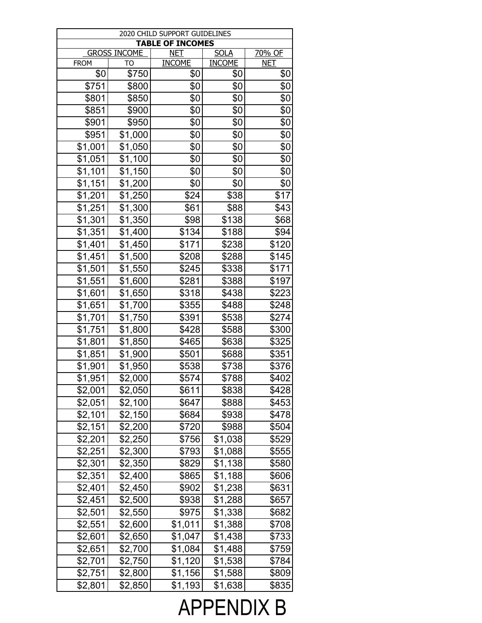| 2020 CHILD SUPPORT GUIDELINES<br><b>TABLE OF INCOMES</b> |                     |               |               |            |
|----------------------------------------------------------|---------------------|---------------|---------------|------------|
|                                                          | <b>GROSS INCOME</b> | <u>NET</u>    | <b>SOLA</b>   | 70% OF     |
| <b>FROM</b>                                              | TO                  | <b>INCOME</b> | <b>INCOME</b> | <b>NET</b> |
| \$0                                                      | \$750               | \$0           | \$0           | \$0        |
| \$751                                                    | \$800               | \$0           | \$0           | \$0        |
| \$801                                                    | \$850               | \$0           | \$0           | \$0        |
| \$851                                                    | \$900               | \$0           | \$0           | \$0        |
| \$901                                                    | \$950               | \$0           | \$0           | \$0        |
| \$951                                                    | \$1,000             | \$0           | \$0           | \$0        |
| \$1,001                                                  | \$1,050             | \$0           | \$0           | \$0        |
| \$1,051                                                  | \$1,100             | \$0           | \$0           | \$0        |
| \$1,101                                                  | \$1,150             | \$0           | \$0           | \$0        |
| \$1,151                                                  | \$1,200             | \$0           | \$0           | \$0        |
| \$1,201                                                  | \$1,250             | \$24          | \$38          | \$17       |
| \$1,251                                                  | \$1,300             | \$61          | \$88          | \$43       |
| \$1,301                                                  | \$1,350             | \$98          | \$138         | \$68       |
| \$1,351                                                  | \$1,400             | \$134         | \$188         | \$94       |
| \$1,401                                                  | \$1,450             | \$171         | \$238         | \$120      |
| \$1,451                                                  | \$1,500             | \$208         | \$288         | \$145      |
| \$1,501                                                  | \$1,550             | \$245         | \$338         | \$171      |
| \$1,551                                                  | \$1,600             | \$281         | \$388         | \$197      |
| \$1,601                                                  | \$1,650             | \$318         | \$438         | \$223      |
| \$1,651                                                  | \$1,700             | \$355         | \$488         | \$248      |
| \$1,701                                                  | \$1,750             | \$391         | \$538         | \$274      |
| \$1,751                                                  | \$1,800             | \$428         | \$588         | \$300      |
| \$1,801                                                  | \$1,850             | \$465         | \$638         | \$325      |
| \$1,851                                                  | \$1,900             | \$501         | \$688         | \$351      |
| \$1,901                                                  | \$1,950             | \$538         | \$738         | \$376      |
| \$1,951                                                  | \$2,000             | \$574         | \$788         | \$402      |
| \$2,001                                                  | \$2,050             | \$611         | \$838         | \$428      |
| \$2,051                                                  | \$2,100             | \$647         | \$888         | \$453      |
| \$2,101                                                  | \$2,150             | \$684         | \$938         | \$478      |
| \$2,151                                                  | \$2,200             | \$720         | \$988         | \$504      |
| \$2,201                                                  | \$2,250             | \$756         | \$1,038       | \$529      |
| \$2,251                                                  | \$2,300             | \$793         | \$1,088       | \$555      |
| \$2,301                                                  | \$2,350             | \$829         | \$1,138       | \$580      |
| \$2,351                                                  | \$2,400             | \$865         | \$1,188       | \$606      |
| \$2,401                                                  | \$2,450             | \$902         | \$1,238       | \$631      |
| \$2,451                                                  | \$2,500             | \$938         | \$1,288       | \$657      |
| \$2,501                                                  | \$2,550             | \$975         | \$1,338       | \$682      |
| \$2,551                                                  | \$2,600             | \$1,011       | \$1,388       | \$708      |
| \$2,601                                                  | \$2,650             | \$1,047       | \$1,438       | \$733      |
| \$2,651                                                  | \$2,700             | \$1,084       | \$1,488       | \$759      |
| \$2,701                                                  | \$2,750             | \$1,120       | \$1,538       | \$784      |
| \$2,751                                                  | \$2,800             | \$1,156       | \$1,588       | \$809      |
| \$2,801                                                  | \$2,850             | \$1,193       | \$1,638       | \$835      |

# APPENDIX B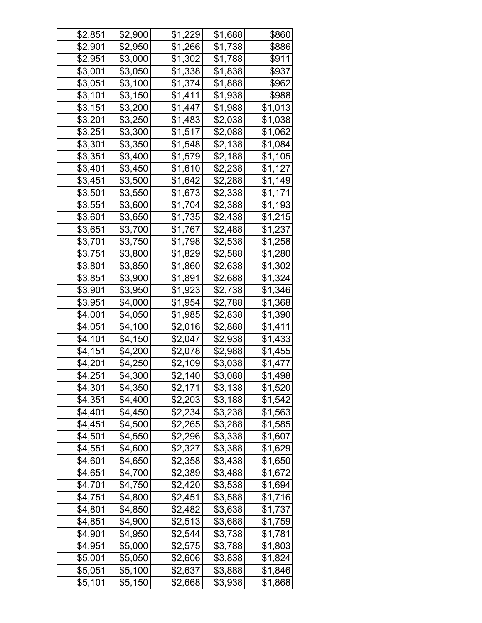| \$2,851 | \$2,900 | \$1,229 | \$1,688 | \$860   |
|---------|---------|---------|---------|---------|
| \$2,901 | \$2,950 | \$1,266 | \$1,738 | \$886   |
| \$2,951 | \$3,000 | \$1,302 | \$1,788 | \$911   |
| \$3,001 | \$3,050 | \$1,338 | \$1,838 | \$937   |
| \$3,051 | \$3,100 | \$1,374 | \$1,888 | \$962   |
| \$3,101 | \$3,150 | \$1,411 | \$1,938 | \$988   |
| \$3,151 | \$3,200 | \$1,447 | \$1,988 | \$1,013 |
| \$3,201 | \$3,250 | \$1,483 | \$2,038 | \$1,038 |
| \$3,251 | \$3,300 | \$1,517 | \$2,088 | \$1,062 |
| \$3,301 | \$3,350 | \$1,548 | \$2,138 | \$1,084 |
| \$3,351 | \$3,400 | \$1,579 | \$2,188 | \$1,105 |
| \$3,401 | \$3,450 | \$1,610 | \$2,238 | \$1,127 |
| \$3,451 | \$3,500 | \$1,642 | \$2,288 | \$1,149 |
| \$3,501 | \$3,550 | \$1,673 | \$2,338 | \$1,171 |
| \$3,551 | \$3,600 | \$1,704 | \$2,388 | \$1,193 |
| \$3,601 | \$3,650 | \$1,735 | \$2,438 | \$1,215 |
| \$3,651 | \$3,700 | \$1,767 | \$2,488 | \$1,237 |
| \$3,701 | \$3,750 | \$1,798 | \$2,538 | \$1,258 |
| \$3,751 | \$3,800 | \$1,829 | \$2,588 | \$1,280 |
| \$3,801 | \$3,850 | \$1,860 | \$2,638 | \$1,302 |
| \$3,851 | \$3,900 | \$1,891 | \$2,688 | \$1,324 |
| \$3,901 | \$3,950 | \$1,923 | \$2,738 | \$1,346 |
| \$3,951 | \$4,000 | \$1,954 | \$2,788 | \$1,368 |
| \$4,001 | \$4,050 | \$1,985 | \$2,838 | \$1,390 |
| \$4,051 | \$4,100 | \$2,016 | \$2,888 | \$1,411 |
| \$4,101 | \$4,150 | \$2,047 | \$2,938 | \$1,433 |
| \$4,151 | \$4,200 | \$2,078 | \$2,988 | \$1,455 |
| \$4,201 | \$4,250 | \$2,109 | \$3,038 | \$1,477 |
| \$4,251 | \$4,300 | \$2,140 | \$3,088 | \$1,498 |
| \$4,301 | \$4,350 | \$2,171 | \$3,138 | \$1,520 |
| \$4,351 | \$4,400 | \$2,203 | \$3,188 | \$1,542 |
| \$4,401 | \$4,450 | \$2,234 | \$3,238 | \$1,563 |
| \$4,451 | \$4,500 | \$2,265 | \$3,288 | \$1,585 |
| \$4,501 | \$4,550 | \$2,296 | \$3,338 | \$1,607 |
| \$4,551 | \$4,600 | \$2,327 | \$3,388 | \$1,629 |
| \$4,601 | \$4,650 | \$2,358 | \$3,438 | \$1,650 |
| \$4,651 | \$4,700 | \$2,389 | \$3,488 | \$1,672 |
| \$4,701 | \$4,750 | \$2,420 | \$3,538 | \$1,694 |
| \$4,751 | \$4,800 | \$2,451 | \$3,588 | \$1,716 |
| \$4,801 | \$4,850 | \$2,482 | \$3,638 | \$1,737 |
| \$4,851 | \$4,900 | \$2,513 | \$3,688 | \$1,759 |
| \$4,901 | \$4,950 | \$2,544 | \$3,738 | \$1,781 |
| \$4,951 | \$5,000 | \$2,575 | \$3,788 | \$1,803 |
| \$5,001 | \$5,050 | \$2,606 | \$3,838 | \$1,824 |
| \$5,051 | \$5,100 | \$2,637 | \$3,888 | \$1,846 |
| \$5,101 | \$5,150 | \$2,668 | \$3,938 | \$1,868 |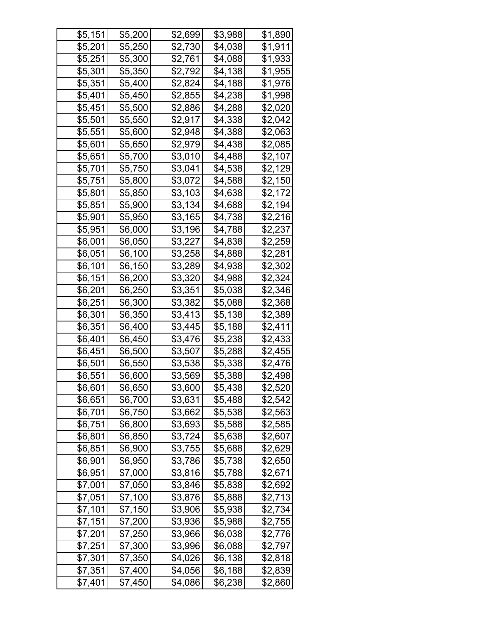| \$5,151 | \$5,200 | \$2,699 | \$3,988 | \$1,890 |
|---------|---------|---------|---------|---------|
| \$5,201 | \$5,250 | \$2,730 | \$4,038 | \$1,911 |
| \$5,251 | \$5,300 | \$2,761 | \$4,088 | \$1,933 |
| \$5,301 | \$5,350 | \$2,792 | \$4,138 | \$1,955 |
| \$5,351 | \$5,400 | \$2,824 | \$4,188 | \$1,976 |
| \$5,401 | \$5,450 | \$2,855 | \$4,238 | \$1,998 |
| \$5,451 | \$5,500 | \$2,886 | \$4,288 | \$2,020 |
| \$5,501 | \$5,550 | \$2,917 | \$4,338 | \$2,042 |
| \$5,551 | \$5,600 | \$2,948 | \$4,388 | \$2,063 |
| \$5,601 | \$5,650 | \$2,979 | \$4,438 | \$2,085 |
| \$5,651 | \$5,700 | \$3,010 | \$4,488 | \$2,107 |
| \$5,701 | \$5,750 | \$3,041 | \$4,538 | \$2,129 |
| \$5,751 | \$5,800 | \$3,072 | \$4,588 | \$2,150 |
| \$5,801 | \$5,850 | \$3,103 | \$4,638 | \$2,172 |
| \$5,851 | \$5,900 | \$3,134 | \$4,688 | \$2,194 |
| \$5,901 | \$5,950 | \$3,165 | \$4,738 | \$2,216 |
| \$5,951 | \$6,000 | \$3,196 | \$4,788 | \$2,237 |
| \$6,001 | \$6,050 | \$3,227 | \$4,838 | \$2,259 |
| \$6,051 | \$6,100 | \$3,258 | \$4,888 | \$2,281 |
| \$6,101 | \$6,150 | \$3,289 | \$4,938 | \$2,302 |
| \$6,151 | \$6,200 | \$3,320 | \$4,988 | \$2,324 |
| \$6,201 | \$6,250 | \$3,351 | \$5,038 | \$2,346 |
| \$6,251 | \$6,300 | \$3,382 | \$5,088 | \$2,368 |
| \$6,301 | \$6,350 | \$3,413 | \$5,138 | \$2,389 |
| \$6,351 | \$6,400 | \$3,445 | \$5,188 | \$2,411 |
| \$6,401 | \$6,450 | \$3,476 | \$5,238 | \$2,433 |
| \$6,451 | \$6,500 | \$3,507 | \$5,288 | \$2,455 |
| \$6,501 | \$6,550 | \$3,538 | \$5,338 | \$2,476 |
| \$6,551 | \$6,600 | \$3,569 | \$5,388 | \$2,498 |
| \$6,601 | \$6,650 | \$3,600 | \$5,438 | \$2,520 |
| \$6,651 | \$6,700 | \$3,631 | \$5,488 | \$2,542 |
| \$6,701 | \$6,750 | \$3,662 | \$5,538 | \$2,563 |
| \$6,751 | \$6,800 | \$3,693 | \$5,588 | \$2,585 |
| \$6,801 | \$6,850 | \$3,724 | \$5,638 | \$2,607 |
| \$6,851 | \$6,900 | \$3,755 | \$5,688 | \$2,629 |
| \$6,901 | \$6,950 | \$3,786 | \$5,738 | \$2,650 |
| \$6,951 | \$7,000 | \$3,816 | \$5,788 | \$2,671 |
| \$7,001 | \$7,050 | \$3,846 | \$5,838 | \$2,692 |
| \$7,051 | \$7,100 | \$3,876 | \$5,888 | \$2,713 |
| \$7,101 | \$7,150 | \$3,906 | \$5,938 | \$2,734 |
| \$7,151 | \$7,200 | \$3,936 | \$5,988 | \$2,755 |
| \$7,201 | \$7,250 | \$3,966 | \$6,038 | \$2,776 |
| \$7,251 | \$7,300 | \$3,996 | \$6,088 | \$2,797 |
| \$7,301 | \$7,350 | \$4,026 | \$6,138 | \$2,818 |
| \$7,351 | \$7,400 | \$4,056 | \$6,188 | \$2,839 |
| \$7,401 | \$7,450 | \$4,086 | \$6,238 | \$2,860 |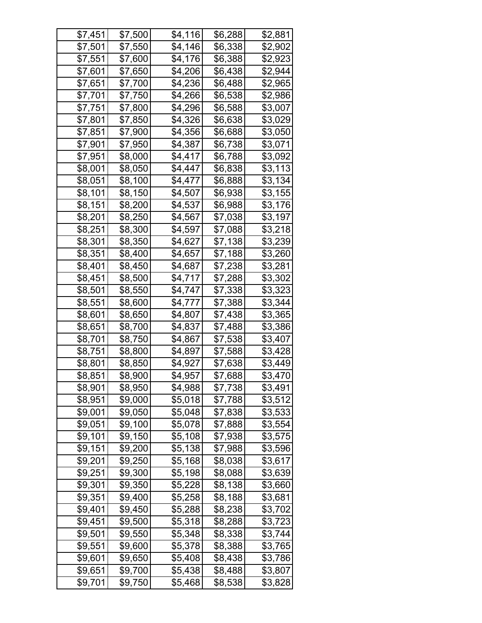| \$7,451 | \$7,500 | \$4,116 | \$6,288 | \$2,881 |
|---------|---------|---------|---------|---------|
| \$7,501 | \$7,550 | \$4,146 | \$6,338 | \$2,902 |
| \$7,551 | \$7,600 | \$4,176 | \$6,388 | \$2,923 |
| \$7,601 | \$7,650 | \$4,206 | \$6,438 | \$2,944 |
| \$7,651 | \$7,700 | \$4,236 | \$6,488 | \$2,965 |
| \$7,701 | \$7,750 | \$4,266 | \$6,538 | \$2,986 |
| \$7,751 | \$7,800 | \$4,296 | \$6,588 | \$3,007 |
| \$7,801 | \$7,850 | \$4,326 | \$6,638 | \$3,029 |
| \$7,851 | \$7,900 | \$4,356 | \$6,688 | \$3,050 |
| \$7,901 | \$7,950 | \$4,387 | \$6,738 | \$3,071 |
| \$7,951 | \$8,000 | \$4,417 | \$6,788 | \$3,092 |
| \$8,001 | \$8,050 | \$4,447 | \$6,838 | \$3,113 |
| \$8,051 | \$8,100 | \$4,477 | \$6,888 | \$3,134 |
| \$8,101 | \$8,150 | \$4,507 | \$6,938 | \$3,155 |
| \$8,151 | \$8,200 | \$4,537 | \$6,988 | \$3,176 |
| \$8,201 | \$8,250 | \$4,567 | \$7,038 | \$3,197 |
| \$8,251 | \$8,300 | \$4,597 | \$7,088 | \$3,218 |
| \$8,301 | \$8,350 | \$4,627 | \$7,138 | \$3,239 |
| \$8,351 | \$8,400 | \$4,657 | \$7,188 | \$3,260 |
| \$8,401 | \$8,450 | \$4,687 | \$7,238 | \$3,281 |
| \$8,451 | \$8,500 | \$4,717 | \$7,288 | \$3,302 |
| \$8,501 | \$8,550 | \$4,747 | \$7,338 | \$3,323 |
| \$8,551 | \$8,600 | \$4,777 | \$7,388 | \$3,344 |
| \$8,601 | \$8,650 | \$4,807 | \$7,438 | \$3,365 |
| \$8,651 | \$8,700 | \$4,837 | \$7,488 | \$3,386 |
| \$8,701 | \$8,750 | \$4,867 | \$7,538 | \$3,407 |
| \$8,751 | \$8,800 | \$4,897 | \$7,588 | \$3,428 |
| \$8,801 | \$8,850 | \$4,927 | \$7,638 | \$3,449 |
| \$8,851 | \$8,900 | \$4,957 | \$7,688 | \$3,470 |
| \$8,901 | \$8,950 | \$4,988 | \$7,738 | \$3,491 |
| \$8,951 | \$9,000 | \$5,018 | \$7,788 | \$3,512 |
| \$9,001 | \$9,050 | \$5,048 | \$7,838 | \$3,533 |
| \$9,051 | \$9,100 | \$5,078 | \$7,888 | \$3,554 |
| \$9,101 | \$9,150 | \$5,108 | \$7,938 | \$3,575 |
| \$9,151 | \$9,200 | \$5,138 | \$7,988 | \$3,596 |
| \$9,201 | \$9,250 | \$5,168 | \$8,038 | \$3,617 |
| \$9,251 | \$9,300 | \$5,198 | \$8,088 | \$3,639 |
| \$9,301 | \$9,350 | \$5,228 | \$8,138 | \$3,660 |
| \$9,351 | \$9,400 | \$5,258 | \$8,188 | \$3,681 |
| \$9,401 | \$9,450 | \$5,288 | \$8,238 | \$3,702 |
| \$9,451 | \$9,500 | \$5,318 | \$8,288 | \$3,723 |
| \$9,501 | \$9,550 | \$5,348 | \$8,338 | \$3,744 |
| \$9,551 | \$9,600 | \$5,378 | \$8,388 | \$3,765 |
| \$9,601 | \$9,650 | \$5,408 | \$8,438 | \$3,786 |
| \$9,651 | \$9,700 | \$5,438 | \$8,488 | \$3,807 |
| \$9,701 | \$9,750 | \$5,468 | \$8,538 | \$3,828 |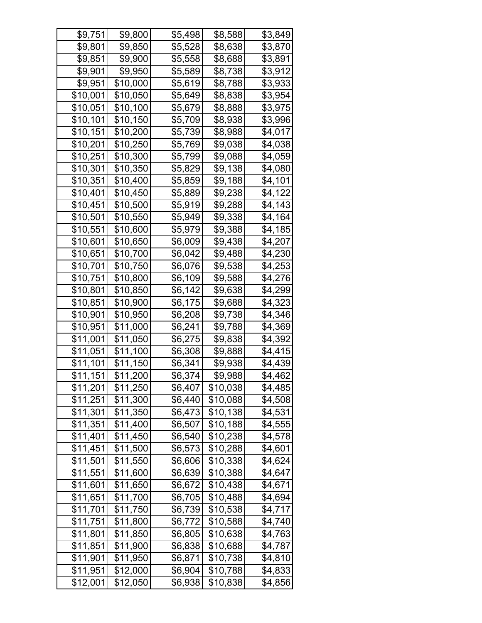| \$9,751  | \$9,800  | \$5,498 | \$8,588  | \$3,849 |
|----------|----------|---------|----------|---------|
| \$9,801  | \$9,850  | \$5,528 | \$8,638  | \$3,870 |
| \$9,851  | \$9,900  | \$5,558 | \$8,688  | \$3,891 |
| \$9,901  | \$9,950  | \$5,589 | \$8,738  | \$3,912 |
| \$9,951  | \$10,000 | \$5,619 | \$8,788  | \$3,933 |
| \$10,001 | \$10,050 | \$5,649 | \$8,838  | \$3,954 |
| \$10,051 | \$10,100 | \$5,679 | \$8,888  | \$3,975 |
| \$10,101 | \$10,150 | \$5,709 | \$8,938  | \$3,996 |
| \$10,151 | \$10,200 | \$5,739 | \$8,988  | \$4,017 |
| \$10,201 | \$10,250 | \$5,769 | \$9,038  | \$4,038 |
| \$10,251 | \$10,300 | \$5,799 | \$9,088  | \$4,059 |
| \$10,301 | \$10,350 | \$5,829 | \$9,138  | \$4,080 |
| \$10,351 | \$10,400 | \$5,859 | \$9,188  | \$4,101 |
| \$10,401 | \$10,450 | \$5,889 | \$9,238  | \$4,122 |
| \$10,451 | \$10,500 | \$5,919 | \$9,288  | \$4,143 |
| \$10,501 | \$10,550 | \$5,949 | \$9,338  | \$4,164 |
| \$10,551 | \$10,600 | \$5,979 | \$9,388  | \$4,185 |
| \$10,601 | \$10,650 | \$6,009 | \$9,438  | \$4,207 |
| \$10,651 | \$10,700 | \$6,042 | \$9,488  | \$4,230 |
| \$10,701 | \$10,750 | \$6,076 | \$9,538  | \$4,253 |
| \$10,751 | \$10,800 | \$6,109 | \$9,588  | \$4,276 |
| \$10,801 | \$10,850 | \$6,142 | \$9,638  | \$4,299 |
| \$10,851 | \$10,900 | \$6,175 | \$9,688  | \$4,323 |
| \$10,901 | \$10,950 | \$6,208 | \$9,738  | \$4,346 |
| \$10,951 | \$11,000 | \$6,241 | \$9,788  | \$4,369 |
| \$11,001 | \$11,050 | \$6,275 | \$9,838  | \$4,392 |
| \$11,051 | \$11,100 | \$6,308 | \$9,888  | \$4,415 |
| \$11,101 | \$11,150 | \$6,341 | \$9,938  | \$4,439 |
| \$11,151 | \$11,200 | \$6,374 | \$9,988  | \$4,462 |
| \$11,201 | \$11,250 | \$6,407 | \$10,038 | \$4,485 |
| \$11,251 | \$11,300 | \$6,440 | \$10,088 | \$4,508 |
| \$11,301 | \$11,350 | \$6,473 | \$10,138 | \$4,531 |
| \$11,351 | \$11,400 | \$6,507 | \$10,188 | \$4,555 |
| \$11,401 | \$11,450 | \$6,540 | \$10,238 | \$4,578 |
| \$11,451 | \$11,500 | \$6,573 | \$10,288 | \$4,601 |
| \$11,501 | \$11,550 | \$6,606 | \$10,338 | \$4,624 |
| \$11,551 | \$11,600 | \$6,639 | \$10,388 | \$4,647 |
| \$11,601 | \$11,650 | \$6,672 | \$10,438 | \$4,671 |
| \$11,651 | \$11,700 | \$6,705 | \$10,488 | \$4,694 |
| \$11,701 | \$11,750 | \$6,739 | \$10,538 | \$4,717 |
| \$11,751 | \$11,800 | \$6,772 | \$10,588 | \$4,740 |
| \$11,801 | \$11,850 | \$6,805 | \$10,638 | \$4,763 |
| \$11,851 | \$11,900 | \$6,838 | \$10,688 | \$4,787 |
| \$11,901 | \$11,950 | \$6,871 | \$10,738 | \$4,810 |
| \$11,951 | \$12,000 | \$6,904 | \$10,788 | \$4,833 |
| \$12,001 | \$12,050 | \$6,938 | \$10,838 | \$4,856 |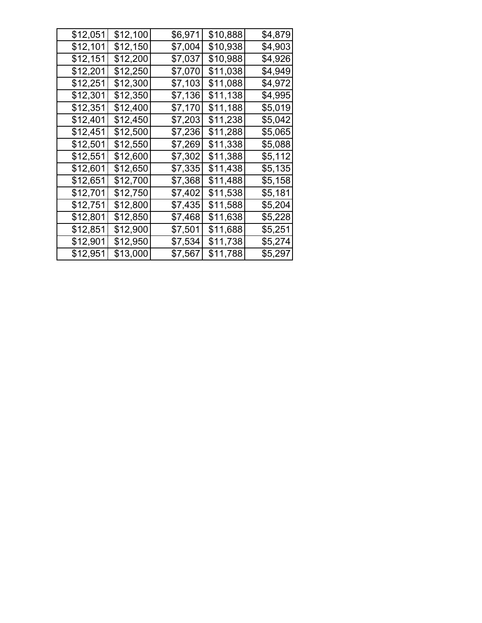| \$12,051 | \$12,100 | \$6,971 | \$10,888 | \$4,879 |
|----------|----------|---------|----------|---------|
| \$12,101 | \$12,150 | \$7,004 | \$10,938 | \$4,903 |
| \$12,151 | \$12,200 | \$7,037 | \$10,988 | \$4,926 |
| \$12,201 | \$12,250 | \$7,070 | \$11,038 | \$4,949 |
| \$12,251 | \$12,300 | \$7,103 | \$11,088 | \$4,972 |
| \$12,301 | \$12,350 | \$7,136 | \$11,138 | \$4,995 |
| \$12,351 | \$12,400 | \$7,170 | \$11,188 | \$5,019 |
| \$12,401 | \$12,450 | \$7,203 | \$11,238 | \$5,042 |
| \$12,451 | \$12,500 | \$7,236 | \$11,288 | \$5,065 |
| \$12,501 | \$12,550 | \$7,269 | \$11,338 | \$5,088 |
| \$12,551 | \$12,600 | \$7,302 | \$11,388 | \$5,112 |
| \$12,601 | \$12,650 | \$7,335 | \$11,438 | \$5,135 |
| \$12,651 | \$12,700 | \$7,368 | \$11,488 | \$5,158 |
| \$12,701 | \$12,750 | \$7,402 | \$11,538 | \$5,181 |
| \$12,751 | \$12,800 | \$7,435 | \$11,588 | \$5,204 |
| \$12,801 | \$12,850 | \$7,468 | \$11,638 | \$5,228 |
| \$12,851 | \$12,900 | \$7,501 | \$11,688 | \$5,251 |
| \$12,901 | \$12,950 | \$7,534 | \$11,738 | \$5,274 |
| \$12,951 | \$13,000 | \$7,567 | \$11,788 | \$5,297 |